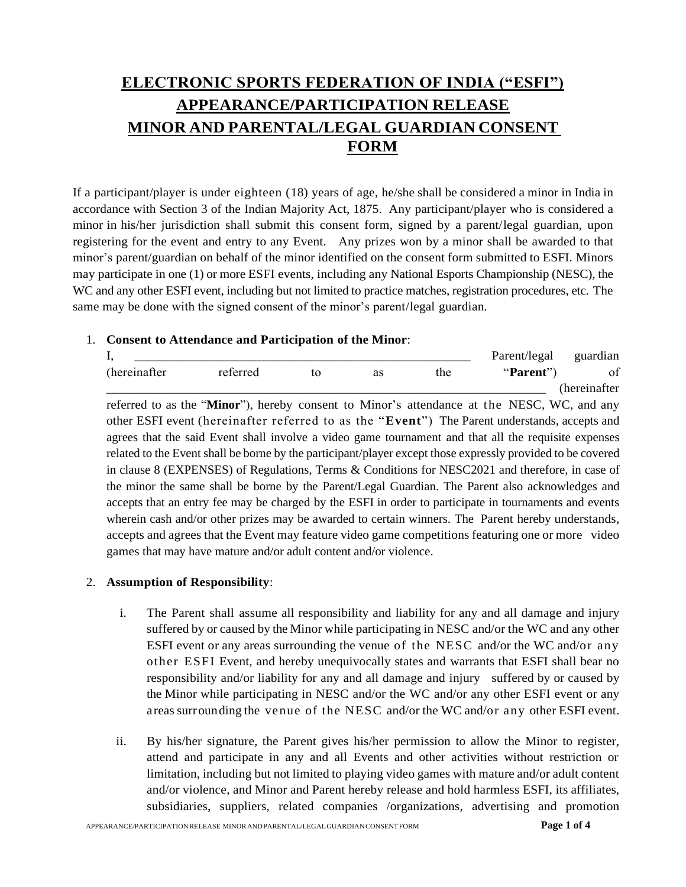# **ELECTRONIC SPORTS FEDERATION OF INDIA ("ESFI") APPEARANCE/PARTICIPATION RELEASE MINOR AND PARENTAL/LEGAL GUARDIAN CONSENT FORM**

If a participant/player is under eighteen (18) years of age, he/she shall be considered a minor in India in accordance with Section 3 of the Indian Majority Act, 1875. Any participant/player who is considered a minor in his/her jurisdiction shall submit this consent form, signed by a parent/legal guardian, upon registering for the event and entry to any Event. Any prizes won by a minor shall be awarded to that minor's parent/guardian on behalf of the minor identified on the consent form submitted to ESFI. Minors may participate in one (1) or more ESFI events, including any National Esports Championship (NESC), the WC and any other ESFI event, including but not limited to practice matches, registration procedures, etc. The same may be done with the signed consent of the minor's parent/legal guardian.

### 1. **Consent to Attendance and Participation of the Minor**:

| л.            |          |    |    |     | Parent/legal | guardian         |
|---------------|----------|----|----|-----|--------------|------------------|
| (hereinafter) | reterrec | to | as | the | "Parent"     | $\epsilon$<br>оt |
|               |          |    |    |     |              | (hereinat        |

referred to as the "**Minor**"), hereby consent to Minor's attendance at the NESC, WC, and any other ESFI event (hereinafter referred to as the "**Event**") The Parent understands, accepts and agrees that the said Event shall involve a video game tournament and that all the requisite expenses related to the Event shall be borne by the participant/player except those expressly provided to be covered in clause 8 (EXPENSES) of Regulations, Terms & Conditions for NESC2021 and therefore, in case of the minor the same shall be borne by the Parent/Legal Guardian. The Parent also acknowledges and accepts that an entry fee may be charged by the ESFI in order to participate in tournaments and events wherein cash and/or other prizes may be awarded to certain winners. The Parent hereby understands, accepts and agrees that the Event may feature video game competitions featuring one or more video games that may have mature and/or adult content and/or violence.

## 2. **Assumption of Responsibility**:

- i. The Parent shall assume all responsibility and liability for any and all damage and injury suffered by or caused by the Minor while participating in NESC and/or the WC and any other ESFI event or any areas surrounding the venue of the NESC and/or the WC and/or any other ESFI Event, and hereby unequivocally states and warrants that ESFI shall bear no responsibility and/or liability for any and all damage and injury suffered by or caused by the Minor while participating in NESC and/or the WC and/or any other ESFI event or any areas surrounding the venue of the NESC and/or the WC and/or any other ESFI event.
- ii. By his/her signature, the Parent gives his/her permission to allow the Minor to register, attend and participate in any and all Events and other activities without restriction or limitation, including but not limited to playing video games with mature and/or adult content and/or violence, and Minor and Parent hereby release and hold harmless ESFI, its affiliates, subsidiaries, suppliers, related companies /organizations, advertising and promotion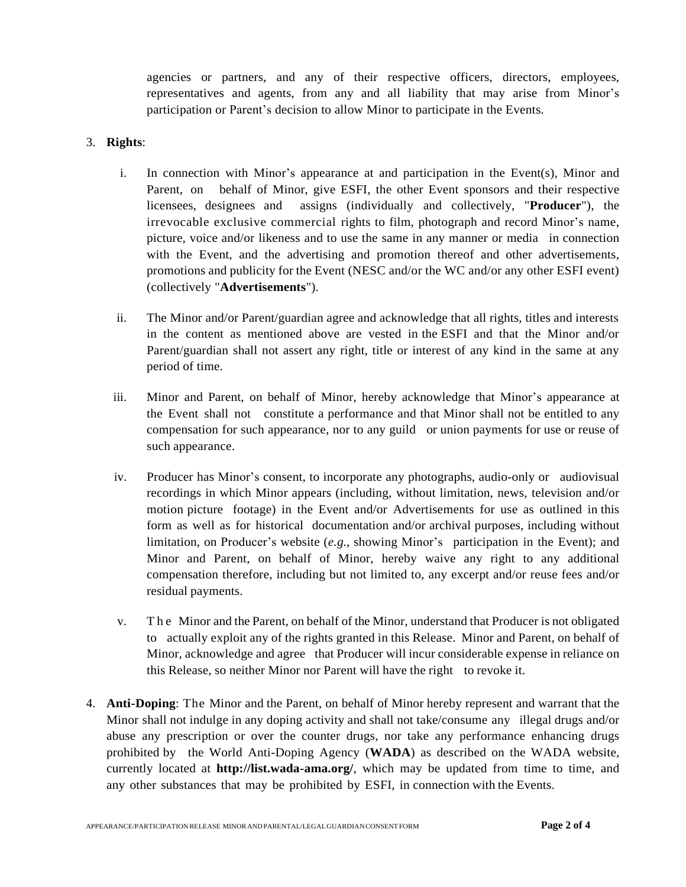agencies or partners, and any of their respective officers, directors, employees, representatives and agents, from any and all liability that may arise from Minor's participation or Parent's decision to allow Minor to participate in the Events.

## 3. **Rights**:

- i. In connection with Minor's appearance at and participation in the Event(s), Minor and Parent, on behalf of Minor, give ESFI, the other Event sponsors and their respective licensees, designees and assigns (individually and collectively, "**Producer**"), the irrevocable exclusive commercial rights to film, photograph and record Minor's name, picture, voice and/or likeness and to use the same in any manner or media in connection with the Event, and the advertising and promotion thereof and other advertisements, promotions and publicity for the Event (NESC and/or the WC and/or any other ESFI event) (collectively "**Advertisements**").
- ii. The Minor and/or Parent/guardian agree and acknowledge that all rights, titles and interests in the content as mentioned above are vested in the ESFI and that the Minor and/or Parent/guardian shall not assert any right, title or interest of any kind in the same at any period of time.
- iii. Minor and Parent, on behalf of Minor, hereby acknowledge that Minor's appearance at the Event shall not constitute a performance and that Minor shall not be entitled to any compensation for such appearance, nor to any guild or union payments for use or reuse of such appearance.
- iv. Producer has Minor's consent, to incorporate any photographs, audio-only or audiovisual recordings in which Minor appears (including, without limitation, news, television and/or motion picture footage) in the Event and/or Advertisements for use as outlined in this form as well as for historical documentation and/or archival purposes, including without limitation, on Producer's website (*e.g.*, showing Minor's participation in the Event); and Minor and Parent, on behalf of Minor, hereby waive any right to any additional compensation therefore, including but not limited to, any excerpt and/or reuse fees and/or residual payments.
- v. T h e Minor and the Parent, on behalf of the Minor, understand that Producer is not obligated to actually exploit any of the rights granted in this Release. Minor and Parent, on behalf of Minor, acknowledge and agree that Producer will incur considerable expense in reliance on this Release, so neither Minor nor Parent will have the right to revoke it.
- 4. **Anti-Doping**: The Minor and the Parent, on behalf of Minor hereby represent and warrant that the Minor shall not indulge in any doping activity and shall not take/consume any illegal drugs and/or abuse any prescription or over the counter drugs, nor take any performance enhancing drugs prohibited by the World Anti-Doping Agency (**WADA**) as described on the WADA website, currently located at **[http://list.wada-a](http://list.wada-/)ma.org/**, which may be updated from time to time, and any other substances that may be prohibited by ESFI, in connection with the Events.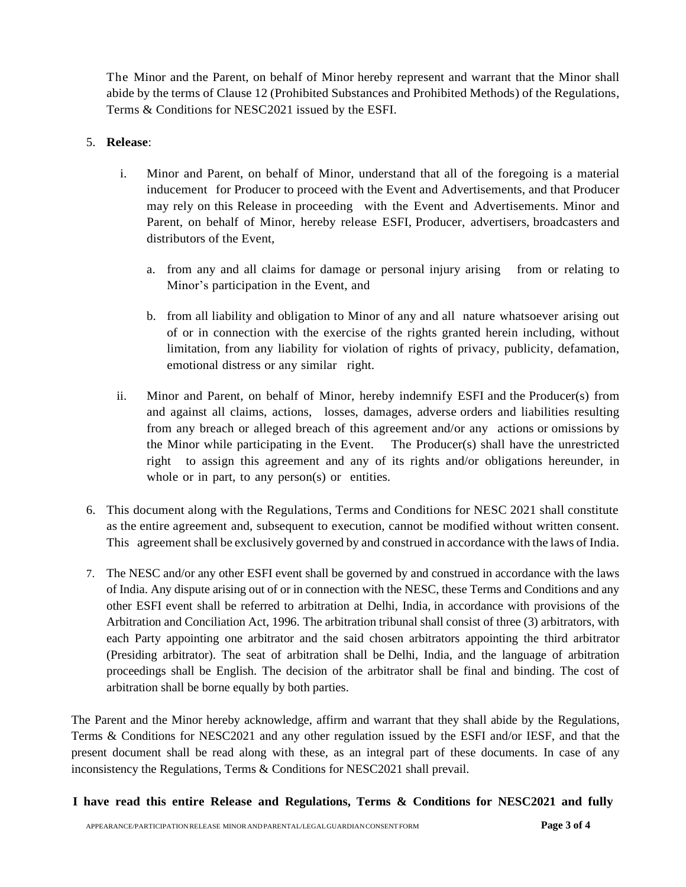The Minor and the Parent, on behalf of Minor hereby represent and warrant that the Minor shall abide by the terms of Clause 12 (Prohibited Substances and Prohibited Methods) of the Regulations, Terms & Conditions for NESC2021 issued by the ESFI.

#### 5. **Release**:

- i. Minor and Parent, on behalf of Minor, understand that all of the foregoing is a material inducement for Producer to proceed with the Event and Advertisements, and that Producer may rely on this Release in proceeding with the Event and Advertisements. Minor and Parent, on behalf of Minor, hereby release ESFI, Producer, advertisers, broadcasters and distributors of the Event,
	- a. from any and all claims for damage or personal injury arising from or relating to Minor's participation in the Event, and
	- b. from all liability and obligation to Minor of any and all nature whatsoever arising out of or in connection with the exercise of the rights granted herein including, without limitation, from any liability for violation of rights of privacy, publicity, defamation, emotional distress or any similar right.
- ii. Minor and Parent, on behalf of Minor, hereby indemnify ESFI and the Producer(s) from and against all claims, actions, losses, damages, adverse orders and liabilities resulting from any breach or alleged breach of this agreement and/or any actions or omissions by the Minor while participating in the Event. The Producer(s) shall have the unrestricted right to assign this agreement and any of its rights and/or obligations hereunder, in whole or in part, to any person(s) or entities.
- 6. This document along with the Regulations, Terms and Conditions for NESC 2021 shall constitute as the entire agreement and, subsequent to execution, cannot be modified without written consent. This agreement shall be exclusively governed by and construed in accordance with the laws of India.
- 7. The NESC and/or any other ESFI event shall be governed by and construed in accordance with the laws of India. Any dispute arising out of or in connection with the NESC, these Terms and Conditions and any other ESFI event shall be referred to arbitration at Delhi, India, in accordance with provisions of the Arbitration and Conciliation Act, 1996. The arbitration tribunal shall consist of three (3) arbitrators, with each Party appointing one arbitrator and the said chosen arbitrators appointing the third arbitrator (Presiding arbitrator). The seat of arbitration shall be Delhi, India, and the language of arbitration proceedings shall be English. The decision of the arbitrator shall be final and binding. The cost of arbitration shall be borne equally by both parties.

The Parent and the Minor hereby acknowledge, affirm and warrant that they shall abide by the Regulations, Terms & Conditions for NESC2021 and any other regulation issued by the ESFI and/or IESF, and that the present document shall be read along with these, as an integral part of these documents. In case of any inconsistency the Regulations, Terms & Conditions for NESC2021 shall prevail.

**I have read this entire Release and Regulations, Terms & Conditions for NESC2021 and fully**